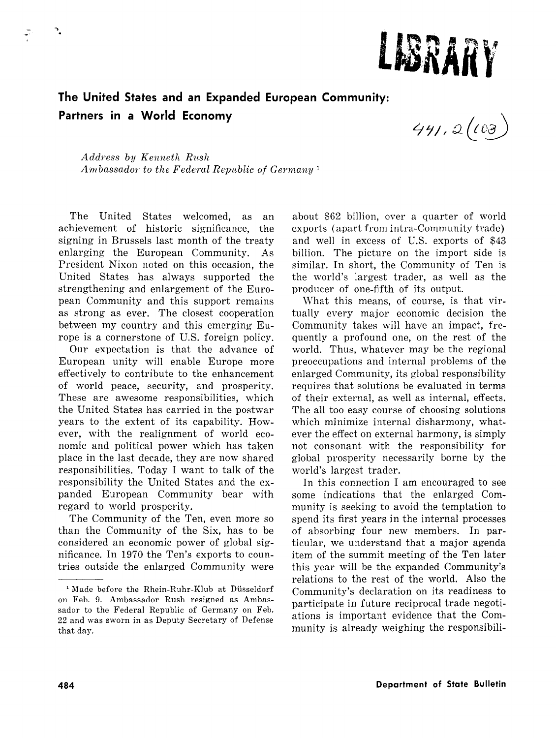

# **The United States and an Expanded European Community: Partners in a World Economy**

 $441.2(103)$ 

*Address by Kenneth Rush Ambassador to the Federal Republic of Germany* <sup>1</sup>

The United States welcomed, as an achievement of historic significance, the signing in Brussels last month of the treaty enlarging the European Community. As President Nixon noted on this occasion, the United States has always supported the strengthening and enlargement of the European Community and this support remains as strong as ever. The closest cooperation between my country and this emerging Europe is a cornerstone of U.S. foreign policy.

Our expectation is that the advance of European unity will enable Europe more effectively to contribute to the enhancement of world peace, security, and prosperity. These are awesome responsibilities, which the United States has carried in the postwar years to the extent of its capability. However, with the realignment of world economic and political power which has taken place in the last decade, they are now shared responsibilities. Today I want to talk of the responsibility the United States and the expanded European Community bear with regard to world prosperity.

The Community of the Ten, even more so than the Community of the Six, has to be considered an economic power of global significance. In 1970 the Ten's exports to countries outside the enlarged Community were about \$62 billion, over a quarter of world exports (apart from intra-Community trade) and well in excess of U.S. exports of \$43 billion. The picture on the import side is similar. In short, the Community of Ten is the world's largest trader, as well as the producer of one-fifth of its output.

\Vhat this means, of course, is that virtually every major economic decision the Community takes will have an impact, frequently a profound one, on the rest of the world. Thus, whatever may be the regional preoccupations and internal problems of the enlarged Community, its global responsibility requires that solutions be evaluated in terms of their external, as well as internal, effects. The all too easy course of choosing solutions which minimize internal disharmony, whatever the effect on external harmony, is simply not consonant with the responsibility for global prosperity necessarily borne by the world's largest trader.

In this connection I am encouraged to see some indications that the enlarged Community is seeking to avoid the temptation to spend its first years in the internal processes of absorbing four new members. In particular, we understand that a major agenda item of the summit meeting of the Ten later this year will be the expanded Community's relations to the rest of the world. Also the Community's declaration on its readiness to participate in future reciprocal trade negotiations is important evidence that the Community is already weighing the responsibili-

٦.

<sup>&</sup>lt;sup>1</sup> Made before the Rhein-Ruhr-Klub at Düsseldorf on Feb. 9. Ambassador Rush resigned as Ambassador to the Federal Republic of Germany on Feb. 22 and was sworn in as Deputy Secretary of Defense that day.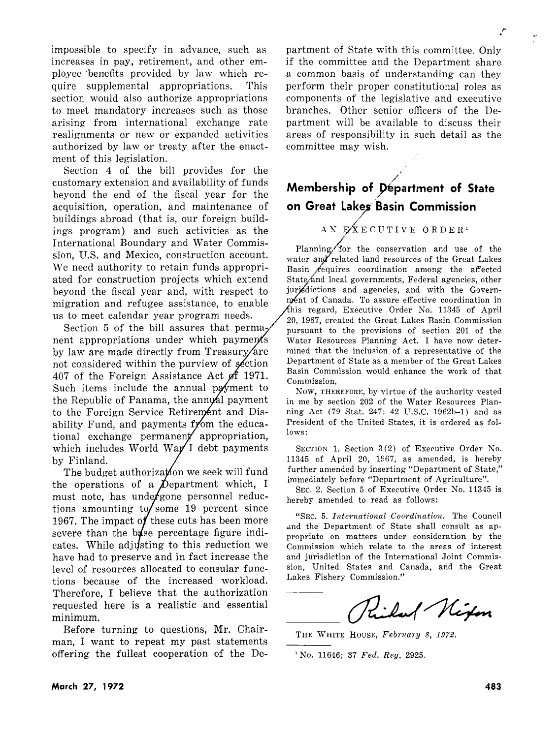,..

impossible to specify in advance, such as increases in pay, retirement, and other employee 'benefits provided by law which require supplemental appropriations. This section would also authorize appropriations to meet mandatory increases such as those arising from international exchange rate realignments or new or expanded activities authorized by law or treaty after the enactment of this legislation.

Section 4 of the bill provides for the customary extension and availability of funds beyond the end of the fiscal year for the acquisition, operation, and maintenance of buildings abroad (that is, our foreign buildings program) and such activities as the International Boundary and Water Commission, U.S. and Mexico, construction account. We need authority to retain funds appropriated for construction projects which extend beyond the fiscal year and, with respect to migration and refugee assistance, to enable us to meet calendar year program needs.

Section 5 of the bill assures that permanent appropriations under which payments by law are made directly from Treasury/are not considered within the purview of section 407 of the Foreign Assistance Act  $\mathscr{A}$  1971. Such items include the annual poyment to the Republic of Panama, the annual payment to the Foreign Service Retirement and Disability Fund, and payments from the educational exchange permanent appropriation, which includes World Way I debt payments by Finland.

The budget authorization we seek will fund the operations of a  $\hat{\mathcal{D}}$  epartment which, I must note, has under gone personnel reductions amounting to some 19 percent since 1967. The impact of these cuts has been more severe than the  $b$ s as percentage figure indicates. While adjusting to this reduction we have had to preserve and in fact increase the level of resources allocated to consular functions because of the increased workload. Therefore, I believe that the authorization requested here is a realistic and essential minimum.

Before turning to questions, **Mr.** Chairman, I want to repeat my past statements offering the fullest cooperation of the Department of State with this committee. Only if the committee and the Department share a common basis of understanding can they perform their proper constitutional roles as components of the legislative and executive branches. Other senior officers of the Department will be available to discuss their areas of responsibility in such detail as the committee may wish.

## .<br>محم **Membership of J>epartment of State on Great Lakes Basin Commission**

#### *1"*  AN EXECUTIVE ORDER<sup>1</sup>

Planning for the conservation and use of the water and related land resources of the Great Lakes Basin  $\ell$  equires coordination among the affected State and local governments, rederal agencies, other<br>jurisdictions and agencies, and with the Govern-<br>ment of Canada. To assure effective coordination in<br>this regard. Executive Order No. 11345 of April State and local governments, Federal agencies, other ment of Canada. To assure effective coordination in his regard, Executive Order No. 11345 of April 20, 1967, created the Great Lakes Basin Commission pursuant to the provisions of section 201 of the Water Resources Planning Act. I have now determined that the inclusion of a representative of the Department of State as a member of the Great Lakes Basin Commission would enhance the work of that Commission.

Now, THEREFORE, by virtue of the authority vested in me by section 202 of the Water Resources Planning Act (79 Stat. 247; 42 U.S.C. 1962b-1) and as President of the United States, it is ordered as follows:

SECTION 1. Section 3 (2) of Executive Order No. 11345 of April 20, 1967, as amended, is hereby further amended by inserting "Department of State," immediately before "Department of Agriculture".

SEC. 2. Section 5 of Executive Order No. 11345 is hereby amended to read as follows:

"SEC. 5. *International Coordination.* The Council and the Department of State shall consult as appropriate on matters under consideration by the Commission which relate to the areas of interest and jurisdiction of the International Joint Commission, United States and Canada, and the Great Lakes Fishery Commission."

Inf Nixon

THE WHITE HOUSE, February 8, 1972.

<sup>1</sup> No. 11646; 37 *Fed. Reg.* 2925.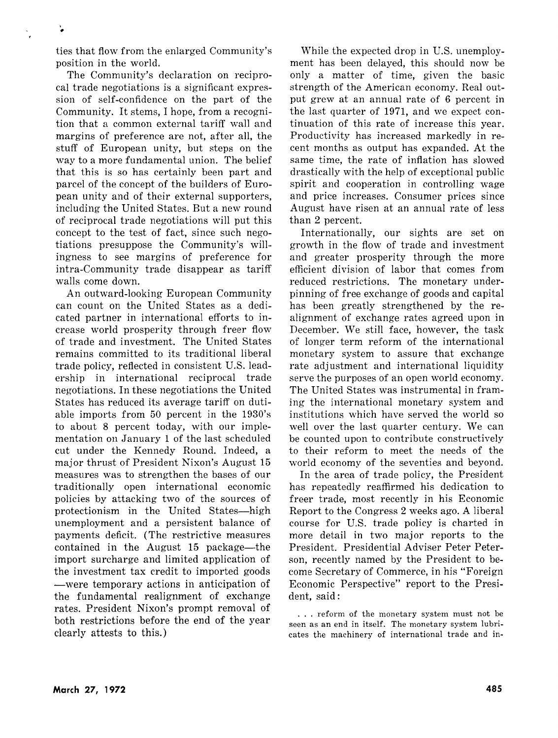ties that flow from the enlarged Community's position in the world.

The Community's declaration on reciprocal trade negotiations is a significant expression of self-confidence on the part of the Community. It stems, I hope, from a recognition that a common external tariff wall and margins of preference are not, after all, the stuff of European unity, but steps on the way to a more fundamental union. The belief that this is so has certainly been part and parcel of the concept of the builders of European unity and of their external supporters, including the United States. But a new round of reciprocal trade negotiations will put this concept to the test of fact, since such negotiations presuppose the Community's willingness to see margins of preference for intra-Community trade disappear as tariff walls come down.

An outward-looking European Community can count on the United States as a dedicated partner in international efforts to increase world prosperity through freer flow of trade and investment. The United States remains committed to its traditional liberal trade policy, reflected in consistent U.S. leadership in international reciprocal trade negotiations. In these negotiations the United States has reduced its average tariff on dutiable imports from 50 percent in the 1930's to about 8 percent today, with our implementation on January 1 of the last scheduled cut under the Kennedy Round. Indeed, a major thrust of President Nixon's August 15 measures was to strengthen the bases of our traditionally open international economic policies by attacking two of the sources of protectionism in the United States-high unemployment and a persistent balance of payments deficit. (The restrictive measures contained in the August 15 package—the import surcharge and limited application of the investment tax credit to imported goods -were temporary actions in anticipation of the fundamental realignment of exchange rates. President Nixon's prompt removal of both restrictions before the end of the year clearly attests to this.)

While the expected drop in U.S. unemployment has been delayed, this should now be only a matter of time, given the basic strength of the American economy. Real output grew at an annual rate of 6 percent in the last quarter of 1971, and we expect continuation of this rate of increase this year. Productivity has increased markedly in recent months as output has expanded. At the same time, the rate of inflation has slowed drastically with the help of exceptional public spirit and cooperation in controlling wage and price increases. Consumer prices since August have risen at an annual rate of less than 2 percent.

Internationally, our sights are set on growth in the flow of trade and investment and greater prosperity through the more efficient division of labor that comes from reduced restrictions. The monetary underpinning of free exchange of goods and capital has been greatly strengthened by the realignment of exchange rates agreed upon in December. We still face, however, the task of longer term reform of the international monetary system to assure that exchange rate adjustment and international liquidity serve the purposes of an open world economy. The United States was instrumental in framing the international monetary system and institutions which have served the world so well over the last quarter century. We can be counted upon to contribute constructively to their reform to meet the needs of the world economy of the seventies and beyond.

In the area of trade policy, the President has repeatedly reaffirmed his dedication to freer trade, most recently in his Economic Report to the Congress 2 weeks ago. A liberal course for U.S. trade policy is charted in more detail in two major reports to the President. Presidential Adviser Peter Peterson, recently named by the President to become Secretary of Commerce, in his "Foreign Economic Perspective" report to the President, said:

... reform of the monetary system must not be seen as an end in itself. The monetary system lubricates the machinery of international trade and in-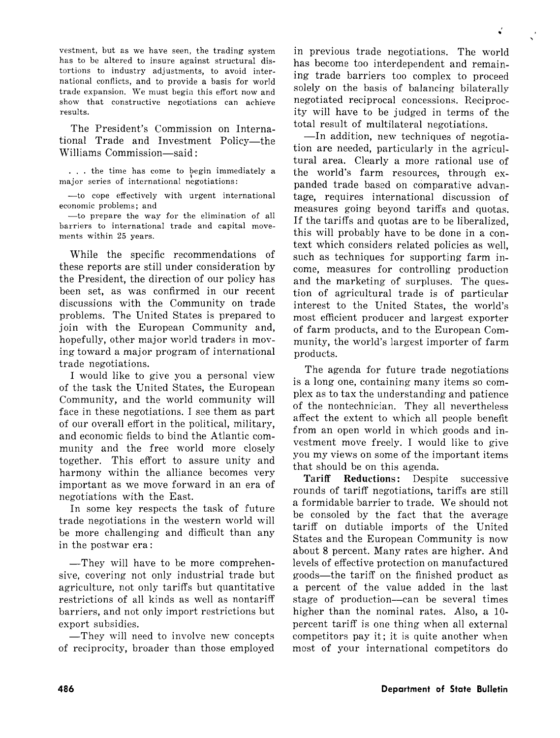vestment, but as we have seen, the trading system has to be altered to insure against structural distortions to industry adjustments, to avoid international conflicts, and to provide a basis for world trade expansion. We must begin this effort now and show that constructive negotiations can achieve results.

The President's Commission on International Trade and Investment Policy-the Williams Commission—said:

... the time has come to begin immediately a major series of international negotiations:

-to cope effectively with urgent international economic problems; and

-to prepare the way for the elimination of all barriers to international trade and capital movements within 25 years.

While the specific recommendations of these reports are still under consideration by the President, the direction of our policy has been set, as was confirmed in our recent discussions with the Community on trade problems. The United States is prepared to join with the European Community and, hopefully, other major world traders in moving toward a major program of international trade negotiations.

I would like to give you a personal view of the task the United States, the European Community, and the world community will face in these negotiations. I see them as part of our overall effort in the political, military, and economic fields to bind the Atlantic community and the free world more closely together. This effort to assure unity and harmony within the alliance becomes very important as we move forward in an era of negotiations with the East.

In some key respects the task of future trade negotiations in the western world will be more challenging and difficult than any in the postwar era:

-They will have to be more comprehensive, covering not only industrial trade but agriculture, not only tariffs but quantitative restrictions of all kinds as well as nontariff barriers, and not only import restrictions but export subsidies.

-They will need to involve new concepts of reciprocity, broader than those employed in previous trade negotiations. The world has become too interdependent and remaining trade barriers too complex to proceed solely on the basis of balancing bilaterally negotiated reciprocal concessions. Reciprocity will have to be judged in terms of the total result of multilateral negotiations.

-In addition, new techniques of negotiation are needed, particularly in the agricultural area. Clearly a more rational use of the world's farm resources, through expanded trade based on comparative advantage, requires international discussion of measures going beyond tariffs and quotas. If the tariffs and quotas are to be liberalized, this will probably have to be done in a context which considers related policies as well, such as techniques for supporting farm income, measures for controlling production and the marketing of surpluses. The question of agricultural trade is of particular interest to the United States, the world's most efficient producer and largest exporter of farm products, and to the European Community, the world's largest importer of farm products.

The agenda for future trade negotiations is a long one, containing many items so complex as to tax the understanding and patience of the nontechnician. They all nevertheless affect the extent to which all people benefit from an open world in which goods and investment move freely. I would like to give you my views on some of the important items that should be on this agenda.

**Tariff Reductions:** Despite successive rounds of tariff negotiations, tariffs are still a formidable barrier to trade. We should not be consoled by the fact that the average tariff on dutiable imports of the United States and the European Community is now about 8 percent. Many rates are higher. And levels of effective protection on manufactured goods-the tariff on the finished product as a percent of the value added in the last stage of production-can be several times higher than the nominal rates. Also, a 10 percent tariff is one thing when all external competitors pay it; it is quite another when most of your international competitors do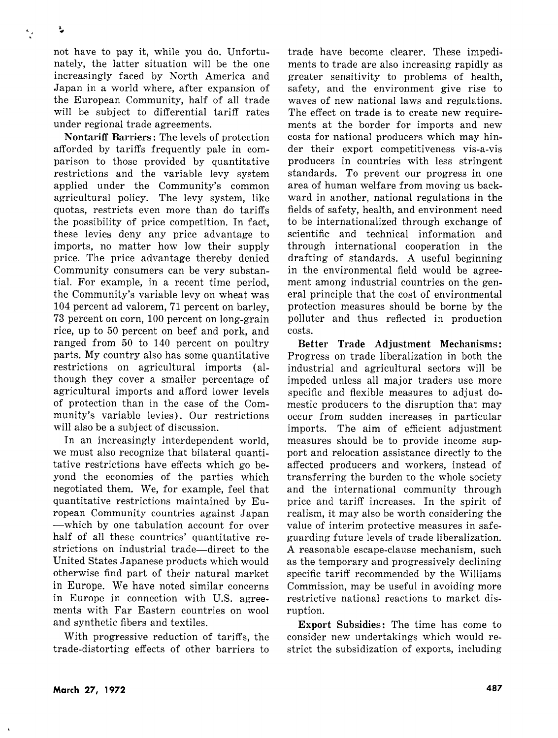not have to pay it, while you do. Unfortunately, the latter situation will be the one increasingly faced by North America and Japan in a world where, after expansion of the European Community, half of all trade will be subject to differential tariff rates under regional trade agreements.

**Non tariff Barriers:** The levels of protection afforded by tariffs frequently pale in comparison to those provided by quantitative restrictions and the variable levy system applied under the Community's common agricultural policy. The levy system, like quotas, restricts even more than do tariffs the possibility of price competition. In fact, these levies deny any price advantage to imports, no matter how low their supply price. The price advantage thereby denied Community consumers can be very substantial. For example, in a recent time period, the Community's variable levy on wheat was 104 percent ad valorem, 71 percent on barley, 73 percent on corn, 100 percent on long-grain rice, up to 50 percent on beef and pork, and ranged from 50 to 140 percent on poultry parts. My country also has some quantitative restrictions on agricultural imports (although they cover a smaller percentage of agricultural imports and afford lower levels of protection than in the case of the Community's variable levies). Our restrictions will also be a subject of discussion.

In an increasingly interdependent world, we must also recognize that bilateral quantitative restrictions have effects which go beyond the economies of the parties which negotiated them. We, for example, feel that quantitative restrictions maintained by European Community countries against Japan -which by one tabulation account for over half of all these countries' quantitative restrictions on industrial trade—direct to the United States Japanese products which would otherwise find part of their natural market in Europe. We have noted similar concerns in Europe in connection with U.S. agreements with Far Eastern countries on wool and synthetic fibers and textiles.

With progressive reduction of tariffs, the trade-distorting effects of other barriers to

trade have become clearer. These impediments to trade are also increasing rapidly as greater sensitivity to problems of health, safety, and the environment give rise to waves of new national laws and regulations. The effect on trade is to create new requirements at the border for imports and new costs for national producers which may hinder their export competitiveness vis-a-vis producers in countries with less stringent standards. To prevent our progress in one area of human welfare from moving us backward in another, national regulations in the fields of safety, health, and environment need to be internationalized through exchange of scientific and technical information and through international cooperation in the drafting of standards. A useful beginning in the environmental field would be agreement among industrial countries on the general principle that the cost of environmental protection measures should be borne by the polluter and thus reflected in production costs.

**Better Trade Adjustment Mechanisms:**  Progress on trade liberalization in both the industrial and agricultural sectors will be impeded unless all major traders use more specific and flexible measures to adjust domestic producers to the disruption that may occur from sudden increases in particular imports. The aim of efficient adjustment measures should be to provide income support and relocation assistance directly to the affected producers and workers, instead of transferring the burden to the whole society and the international community through price and tariff increases. In the spirit of realism, it may also be worth considering the value of interim protective measures in safeguarding future levels of trade liberalization. A reasonable escape-clause mechanism, such as the temporary and progressively declining specific tariff recommended by the Williams Commission, may be useful in avoiding more restrictive national reactions to market disruption.

**Export Subsidies:** The time has come to consider new undertakings which would restrict the subsidization of exports, including